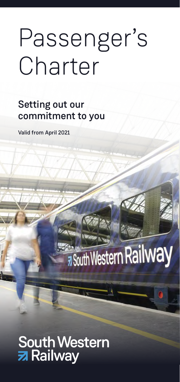## Passenger's Charter

#### Setting out our commitment to you

Valid from April 2021

# **A South Western Railway**

# South Western<br>**7** Railway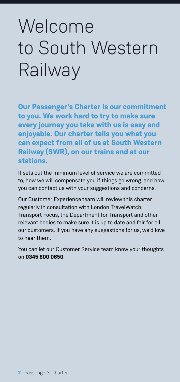### Welcome to South Western Railway

**Our Passenger's Charter is our commitment to you. We work hard to try to make sure every journey you take with us is easy and enjoyable. Our charter tells you what you can expect from all of us at South Western Railway (SWR), on our trains and at our stations.**

It sets out the minimum level of service we are committed to, how we will compensate you if things go wrong, and how you can contact us with your suggestions and concerns.

Our Customer Experience team will review this charter regularly in consultation with London TravelWatch, Transport Focus, the Department for Transport and other relevant bodies to make sure it is up to date and fair for all our customers. If you have any suggestions for us, we'd love to hear them.

You can let our Customer Service team know your thoughts on **0345 600 0650**.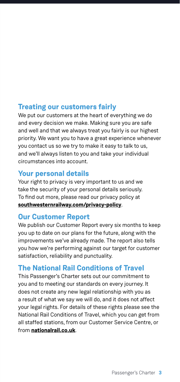#### **Treating our customers fairly**

We put our customers at the heart of everything we do and every decision we make. Making sure you are safe and well and that we always treat you fairly is our highest priority. We want you to have a great experience whenever you contact us so we try to make it easy to talk to us, and we'll always listen to you and take your individual circumstances into account.

#### **Your personal details**

Your right to privacy is very important to us and we take the security of your personal details seriously. To find out more, please read our privacy policy at **[southwesternrailway.com/privacy-policy](http://southwesternrailway.com/privacy-policy)**.

#### **Our Customer Report**

We publish our Customer Report every six months to keep you up to date on our plans for the future, along with the improvements we've already made. The report also tells you how we're performing against our target for customer satisfaction, reliability and punctuality.

#### **The National Rail Conditions of Travel**

This Passenger's Charter sets out our commitment to you and to meeting our standards on every journey. It does not create any new legal relationship with you as a result of what we say we will do, and it does not affect your legal rights. For details of these rights please see the National Rail Conditions of Travel, which you can get from all staffed stations, from our Customer Service Centre, or from **[nationalrail.co.uk](http://nationalrail.co.uk)**.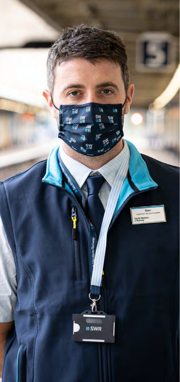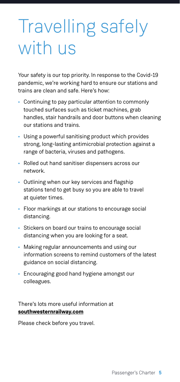### Travelling safely with us

Your safety is our top priority. In response to the Covid-19 pandemic, we're working hard to ensure our stations and trains are clean and safe. Here's how:

- **•** Continuing to pay particular attention to commonly touched surfaces such as ticket machines, grab handles, stair handrails and door buttons when cleaning our stations and trains.
- **•** Using a powerful sanitising product which provides strong, long-lasting antimicrobial protection against a range of bacteria, viruses and pathogens.
- **•** Rolled out hand sanitiser dispensers across our network.
- **•** Outlining when our key services and flagship stations tend to get busy so you are able to travel at quieter times.
- **•** Floor markings at our stations to encourage social distancing.
- **•** Stickers on board our trains to encourage social distancing when you are looking for a seat.
- **•** Making regular announcements and using our information screens to remind customers of the latest guidance on social distancing.
- **•** Encouraging good hand hygiene amongst our colleagues.

#### There's lots more useful information at **[southwesternrailway.com](http://southwesternrailway.com)**

Please check before you travel.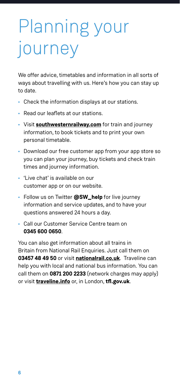### Planning your journey

We offer advice, timetables and information in all sorts of ways about travelling with us. Here's how you can stay up to date.

- **•** Check the information displays at our stations.
- **•** Read our leaflets at our stations.
- **•** Visit **[southwesternrailway.com](http://southwesternrailway.com)** for train and journey information, to book tickets and to print your own personal timetable.
- **•** Download our free customer app from your app store so you can plan your journey, buy tickets and check train times and journey information.
- **•** 'Live chat' is available on our customer app or on our website.
- **•** Follow us on Twitter **@SW\_help** for live journey information and service updates, and to have your questions answered 24 hours a day.
- **•** Call our Customer Service Centre team on **0345 600 0650**.

You can also get information about all trains in Britain from National Rail Enquiries. Just call them on **03457 48 49 50** or visit **[nationalrail.co.uk](http://nationalrail.co.uk)**. Traveline can help you with local and national bus information. You can call them on **0871 200 2233** (network charges may apply) or visit **[traveline.info](http://traveline.info)** or, in London, **tfl.gov.uk**.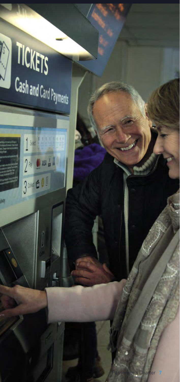# TICKETS Cash and Card Payments

Se

 $2<sup>2</sup>$ 

 $3^{\text{coker}}$  60

Y.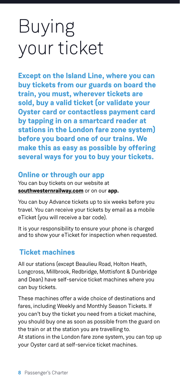### Buying your ticket

**Except on the Island Line, where you can buy tickets from our guards on board the train, you must, wherever tickets are sold, buy a valid ticket (or validate your Oyster card or contactless payment card by tapping in on a smartcard reader at stations in the London fare zone system) before you board one of our trains. We make this as easy as possible by offering several ways for you to buy your tickets.**

#### **Online or through our app**

You can buy tickets on our website at **[southwesternrailway.com](http://southwesternrailway.com)** or on our app.

You can buy Advance tickets up to six weeks before you travel. You can receive your tickets by email as a mobile eTicket (you will receive a bar code).

It is your responsibility to ensure your phone is charged and to show your eTicket for inspection when requested.

#### **Ticket machines**

All our stations (except Beaulieu Road, Holton Heath, Longcross, Millbrook, Redbridge, Mottisfont & Dunbridge and Dean) have self-service ticket machines where you can buy tickets.

These machines offer a wide choice of destinations and fares, including Weekly and Monthly Season Tickets. If you can't buy the ticket you need from a ticket machine, you should buy one as soon as possible from the guard on the train or at the station you are travelling to. At stations in the London fare zone system, you can top up your Oyster card at self-service ticket machines.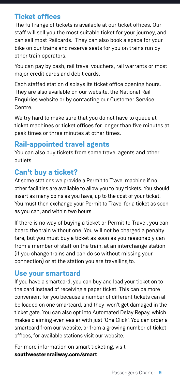#### **Ticket offices**

The full range of tickets is available at our ticket offices. Our staff will sell you the most suitable ticket for your journey, and can sell most Railcards. They can also book a space for your bike on our trains and reserve seats for you on trains run by other train operators.

You can pay by cash, rail travel vouchers, rail warrants or most major credit cards and debit cards.

Each staffed station displays its ticket office opening hours. They are also available on our website, the National Rail Enquiries website or by contacting our Customer Service Centre.

We try hard to make sure that you do not have to queue at ticket machines or ticket offices for longer than five minutes at peak times or three minutes at other times.

#### **Rail-appointed travel agents**

You can also buy tickets from some travel agents and other outlets.

#### **Can't buy a ticket?**

At some stations we provide a Permit to Travel machine if no other facilities are available to allow you to buy tickets. You should insert as many coins as you have, up to the cost of your ticket. You must then exchange your Permit to Travel for a ticket as soon as you can, and within two hours.

If there is no way of buying a ticket or Permit to Travel, you can board the train without one. You will not be charged a penalty fare, but you must buy a ticket as soon as you reasonably can from a member of staff on the train, at an interchange station (if you change trains and can do so without missing your connection) or at the station you are travelling to.

#### **Use your smartcard**

If you have a smartcard, you can buy and load your ticket on to the card instead of receiving a paper ticket. This can be more convenient for you because a number of different tickets can all be loaded on one smartcard, and they won't get damaged in the ticket gate. You can also opt into Automated Delay Repay, which makes claiming even easier with just 'One Click'. You can order a smartcard from our website, or from a growing number of ticket offices, for available stations visit our website.

For more information on smart ticketing, visit **[southwesternrailway.com/smart](http://southwesternrailway.com/smart)**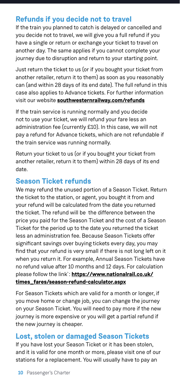#### **Refunds if you decide not to travel**

If the train you planned to catch is delayed or cancelled and you decide not to travel, we will give you a full refund if you have a single or return or exchange your ticket to travel on another day. The same applies if you cannot complete your journey due to disruption and return to your starting point.

Just return the ticket to us (or if you bought your ticket from another retailer, return it to them) as soon as you reasonably can (and within 28 days of its end date). The full refund in this case also applies to Advance tickets. For further information visit our website **[southwesternrailway.com/refunds](http://southwesternrailway.com/refunds)**

If the train service is running normally and you decide not to use your ticket, we will refund your fare less an administration fee (currently £10). In this case, we will not pay a refund for Advance tickets, which are not refundable if the train service was running normally.

Return your ticket to us (or if you bought your ticket from another retailer, return it to them) within 28 days of its end date.

#### **Season Ticket refunds**

We may refund the unused portion of a Season Ticket. Return the ticket to the station, or agent, you bought it from and your refund will be calculated from the date you returned the ticket. The refund will be the difference between the price you paid for the Season Ticket and the cost of a Season Ticket for the period up to the date you returned the ticket less an administration fee. Because Season Tickets offer significant savings over buying tickets every day, you may find that your refund is very small if there is not long left on it when you return it. For example, Annual Season Tickets have no refund value after 10 months and 12 days. For calculation please follow the link`: **[https://www.nationalrail.co.uk/](https://www.nationalrail.co.uk/times_fares/season-refund-calculator.aspx ) [times\\_fares/season-refund-calculator.aspx](https://www.nationalrail.co.uk/times_fares/season-refund-calculator.aspx )**

For Season Tickets which are valid for a month or longer, if you move home or change job, you can change the journey on your Season Ticket. You will need to pay more if the new journey is more expensive or you will get a partial refund if the new journey is cheaper.

#### **Lost, stolen or damaged Season Tickets**

If you have lost your Season Ticket or it has been stolen, and it is valid for one month or more, please visit one of our stations for a replacement. You will usually have to pay an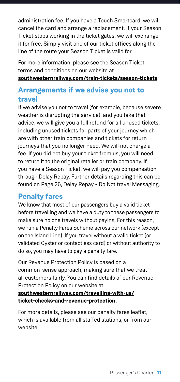administration fee. If you have a Touch Smartcard, we will cancel the card and arrange a replacement. If your Season Ticket stops working in the ticket gates, we will exchange it for free. Simply visit one of our ticket offices along the line of the route your Season Ticket is valid for.

For more information, please see the Season Ticket terms and conditions on our website at

**[southwesternrailway.com/train-tickets/season-tickets](http://southwesternrailway.com/train-tickets/season-tickets)**.

#### **Arrangements if we advise you not to travel**

If we advise you not to travel (for example, because severe weather is disrupting the service), and you take that advice, we will give you a full refund for all unused tickets, including unused tickets for parts of your journey which are with other train companies and tickets for return journeys that you no longer need. We will not charge a fee. If you did not buy your ticket from us, you will need to return it to the original retailer or train company. If you have a Season Ticket, we will pay you compensation through Delay Repay. Further details regarding this can be found on Page 26, Delay Repay - Do Not travel Messaging.

#### **Penalty fares**

We know that most of our passengers buy a valid ticket before travelling and we have a duty to these passengers to make sure no one travels without paying. For this reason, we run a Penalty Fares Scheme across our network (except on the Island Line). If you travel without a valid ticket (or validated Oyster or contactless card) or without authority to do so, you may have to pay a penalty fare.

Our Revenue Protection Policy is based on a common-sense approach, making sure that we treat all customers fairly. You can find details of our Revenue Protection Policy on our website at

**[southwesternrailway.com/travelling-with-us/](http://southwesternrailway.com/travelling-with-us/ ticket-checks-and-revenue-protection)  [ticket-checks-and-revenue-protection](http://southwesternrailway.com/travelling-with-us/ ticket-checks-and-revenue-protection).**

For more details, please see our penalty fares leaflet, which is available from all staffed stations, or from our website.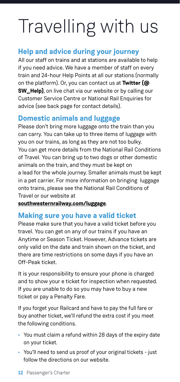### Travelling with us

#### **Help and advice during your journey**

All our staff on trains and at stations are available to help if you need advice. We have a member of staff on every train and 24-hour Help Points at all our stations (normally on the platform). Or, you can contact us at **Twitter (@ SW\_Help)**, on live chat via our website or by calling our Customer Service Centre or National Rail Enquiries for advice (see back page for contact details).

#### **Domestic animals and luggage**

Please don't bring more luggage onto the train than you can carry. You can take up to three items of luggage with you on our trains, as long as they are not too bulky. You can get more details from the National Rail Conditions of Travel. You can bring up to two dogs or other domestic animals on the train, and they must be kept on a lead for the whole journey. Smaller animals must be kept in a pet carrier. For more information on bringing luggage onto trains, please see the National Rail Conditions of Travel or our website at

#### **[southwesternrailway.com/luggage](http://southwesternrailway.com/luggage)**.

#### **Making sure you have a valid ticket**

Please make sure that you have a valid ticket before you travel. You can get on any of our trains if you have an Anytime or Season Ticket. However, Advance tickets are only valid on the date and train shown on the ticket, and there are time restrictions on some days if you have an Off-Peak ticket.

It is your responsibility to ensure your phone is charged and to show your e ticket for inspection when requested. If you are unable to do so you may have to buy a new ticket or pay a Penalty Fare.

If you forget your Railcard and have to pay the full fare or buy another ticket, we'll refund the extra cost if you meet the following conditions.

- **•** You must claim a refund within 28 days of the expiry date on your ticket.
- **•** You'll need to send us proof of your original tickets just follow the directions on our website.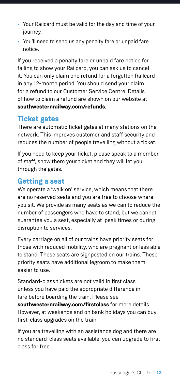- **•** Your Railcard must be valid for the day and time of your iourney.
- **•** You'll need to send us any penalty fare or unpaid fare notice.

If you received a penalty fare or unpaid fare notice for failing to show your Railcard, you can ask us to cancel it. You can only claim one refund for a forgotten Railcard in any 12-month period. You should send your claim for a refund to our Customer Service Centre. Details of how to claim a refund are shown on our website at **[southwesternrailway.com/refunds](http://southwesternrailway.com/refunds)**.

#### **Ticket gates**

There are automatic ticket gates at many stations on the network. This improves customer and staff security and reduces the number of people travelling without a ticket.

If you need to keep your ticket, please speak to a member of staff, show them your ticket and they will let you through the gates.

#### **Getting a seat**

We operate a 'walk on' service, which means that there are no reserved seats and you are free to choose where you sit. We provide as many seats as we can to reduce the number of passengers who have to stand, but we cannot guarantee you a seat, especially at peak times or during disruption to services.

Every carriage on all of our trains have priority seats for those with reduced mobility, who are pregnant or less able to stand. These seats are signposted on our trains. These priority seats have additional legroom to make them easier to use.

Standard-class tickets are not valid in first class unless you have paid the appropriate difference in fare before boarding the train. Please see **[southwesternrailway.com/firstclass](http://southwesternrailway.com/firstclass)** for more details. However, at weekends and on bank holidays you can buy first-class upgrades on the train.

If you are travelling with an assistance dog and there are no standard-class seats available, you can upgrade to first class for free.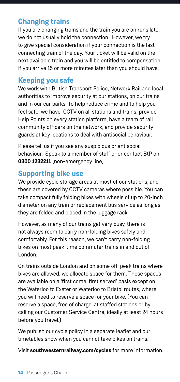#### **Changing trains**

If you are changing trains and the train you are on runs late, we do not usually hold the connection. However, we try to give special consideration if your connection is the last connecting train of the day. Your ticket will be valid on the next available train and you will be entitled to compensation if you arrive 15 or more minutes later than you should have.

#### **Keeping you safe**

We work with British Transport Police, Network Rail and local authorities to improve security at our stations, on our trains and in our car parks. To help reduce crime and to help you feel safe, we have CCTV on all stations and trains, provide Help Points on every station platform, have a team of rail community officers on the network, and provide security guards at key locations to deal with antisocial behaviour.

Please tell us if you see any suspicious or antisocial behaviour. Speak to a member of staff or or contact BtP on **0300 1232211** (non-emergency line)

#### **Supporting bike use**

We provide cycle storage areas at most of our stations, and these are covered by CCTV cameras where possible. You can take compact fully folding bikes with wheels of up to 20-inch diameter on any train or replacement bus service as long as they are folded and placed in the luggage rack.

However, as many of our trains get very busy, there is not always room to carry non-folding bikes safely and comfortably. For this reason, we can't carry non-folding bikes on most peak-time commuter trains in and out of London.

On trains outside London and on some off-peak trains where bikes are allowed, we allocate space for them. These spaces are available on a 'first come, first served' basis except on the Waterloo to Exeter or Waterloo to Bristol routes, where you will need to reserve a space for your bike. (You can reserve a space, free of charge, at staffed stations or by calling our Customer Service Centre, ideally at least 24 hours before you travel.)

We publish our cycle policy in a separate leaflet and our timetables show when you cannot take bikes on trains.

Visit **[southwesternrailway.com/cycles](http://southwesternrailway.com/cycles)** for more information.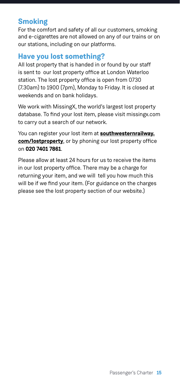#### **Smoking**

For the comfort and safety of all our customers, smoking and e-cigarettes are not allowed on any of our trains or on our stations, including on our platforms.

#### **Have you lost something?**

All lost property that is handed in or found by our staff is sent to our lost property office at London Waterloo station. The lost property office is open from 0730 (7.30am) to 1900 (7pm), Monday to Friday. It is closed at weekends and on bank holidays.

We work with MissingX, the world's largest lost property database. To find your lost item, please visit missingx.com to carry out a search of our network.

You can register your lost item at **[southwesternrailway.](http://southwesternrailway.com/lostproperty) [com/lostproperty](http://southwesternrailway.com/lostproperty)**, or by phoning our lost property office on **020 7401 7861**.

Please allow at least 24 hours for us to receive the items in our lost property office. There may be a charge for returning your item, and we will tell you how much this will be if we find your item. (For guidance on the charges please see the lost property section of our website.)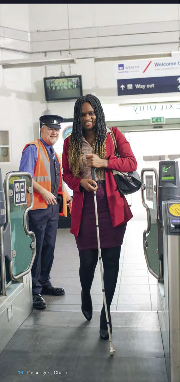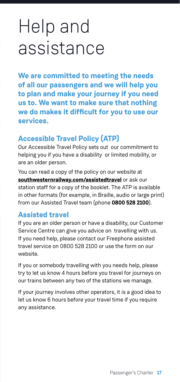### Help and assistance

**We are committed to meeting the needs of all our passengers and we will help you to plan and make your journey if you need us to. We want to make sure that nothing we do makes it difficult for you to use our services.**

#### **Accessible Travel Policy (ATP)**

Our Accessible Travel Policy sets out our commitment to helping you if you have a disability or limited mobility, or are an older person.

You can read a copy of the policy on our website at **[southwesternrailway.com/assistedtravel](http://southwesternrailway.com/assistedtravel)** or ask our station staff for a copy of the booklet. The ATP is available in other formats (for example, in Braille, audio or large print) from our Assisted Travel team (phone **0800 528 2100**).

#### **Assisted travel**

If you are an older person or have a disability, our Customer Service Centre can give you advice on travelling with us. If you need help, please contact our Freephone assisted travel service on 0800 528 2100 or use the form on our website.

If you or somebody travelling with you needs help, please try to let us know 4 hours before you travel for journeys on our trains between any two of the stations we manage.

If your journey involves other operators, it is a good idea to let us know 6 hours before your travel time if you require any assistance.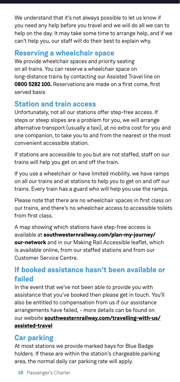We understand that it's not always possible to let us know if you need any help before you travel and we will do all we can to help on the day. It may take some time to arrange help, and if we can't help you, our staff will do their best to explain why.

#### **Reserving a wheelchair space**

We provide wheelchair spaces and priority seating on all trains. You can reserve a wheelchair space on long-distance trains by contacting our Assisted Travel line on **0800 5282 100.** Reservations are made on a first come, first served basis

#### **Station and train access**

Unfortunately, not all our stations offer step-free access. If steps or steep slopes are a problem for you, we will arrange alternative transport (usually a taxi), at no extra cost for you and one companion, to take you to and from the nearest or the most convenient accessible station.

If stations are accessible to you but are not staffed, staff on our trains will help you get on and off the train.

If you use a wheelchair or have limited mobility, we have ramps on all our trains and at stations to help you to get on and off our trains. Every train has a guard who will help you use the ramps.

Please note that there are no wheelchair spaces in first class on our trains, and there's no wheelchair access to accessible toilets from first class.

A map showing which stations have step-free access is available at **southwesternrailway.com/plan-my-journey/ our-network** and in our Making Rail Accessible leaflet, which is available online, from our staffed stations and from our Customer Service Centre.

#### **If booked assistance hasn't been available or failed**

In the event that we've not been able to provide you with assistance that you've booked then please get in touch. You'll also be entitled to compensation from us if our assistance arrangements have failed, - more details can be found on our website **[southwesternrailway.com/travelling-with-us/](http://southwesternrailway.com/travelling-with-us/assisted-travel) [assisted-travel](http://southwesternrailway.com/travelling-with-us/assisted-travel)**

#### **Car parking**

At most stations we provide marked bays for Blue Badge holders. If these are within the station's chargeable parking area, the normal daily car parking rate will apply.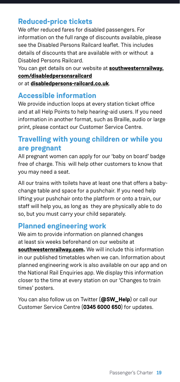#### **Reduced-price tickets**

We offer reduced fares for disabled passengers. For information on the full range of discounts available, please see the Disabled Persons Railcard leaflet. This includes details of discounts that are available with or without a Disabled Persons Railcard.

You can get details on our website at **[southwesternrailway.](http://southwesternrailway.com/disabledpersonsrailcard) [com/disabledpersonsrailcard](http://southwesternrailway.com/disabledpersonsrailcard)**  or at **[disabledpersons-railcard.co.uk](http://disabledpersons-railcard.co.uk)**.

#### **Accessible information**

We provide induction loops at every station ticket office and at all Help Points to help hearing-aid users. If you need information in another format, such as Braille, audio or large print, please contact our Customer Service Centre.

#### **Travelling with young children or while you are pregnant**

All pregnant women can apply for our 'baby on board' badge free of charge. This will help other customers to know that you may need a seat.

All our trains with toilets have at least one that offers a babychange table and space for a pushchair. If you need help lifting your pushchair onto the platform or onto a train, our staff will help you, as long as they are physically able to do so, but you must carry your child separately.

#### **Planned engineering work**

We aim to provide information on planned changes at least six weeks beforehand on our website at **[southwesternrailway.com](http://southwesternrailway.com).** We will include this information in our published timetables when we can. Information about planned engineering work is also available on our app and on the National Rail Enquiries app. We display this information closer to the time at every station on our 'Changes to train times' posters.

You can also follow us on Twitter (**@SW\_Help**) or call our Customer Service Centre (**0345 6000 650**) for updates.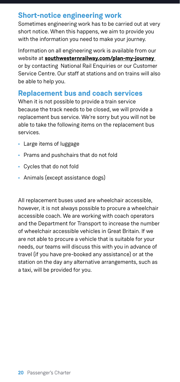#### **Short-notice engineering work**

Sometimes engineering work has to be carried out at very short notice. When this happens, we aim to provide you with the information you need to make your journey.

Information on all engineering work is available from our website at **[southwesternrailway.com/plan-my-journey](http://southwesternrailway.com/plan-my-journey )** or by contacting National Rail Enquiries or our Customer Service Centre. Our staff at stations and on trains will also be able to help you.

#### **Replacement bus and coach services**

When it is not possible to provide a train service because the track needs to be closed, we will provide a replacement bus service. We're sorry but you will not be able to take the following items on the replacement bus services.

- **•** Large items of luggage
- **•** Prams and pushchairs that do not fold
- **•** Cycles that do not fold
- **•** Animals (except assistance dogs)

All replacement buses used are wheelchair accessible, however, it is not always possible to procure a wheelchair accessible coach. We are working with coach operators and the Department for Transport to increase the number of wheelchair accessible vehicles in Great Britain. If we are not able to procure a vehicle that is suitable for your needs, our teams will discuss this with you in advance of travel (if you have pre-booked any assistance) or at the station on the day any alternative arrangements, such as a taxi, will be provided for you.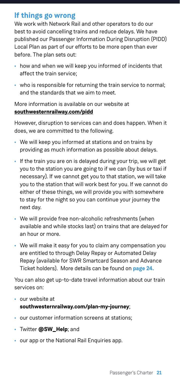#### **If things go wrong**

We work with Network Rail and other operators to do our best to avoid cancelling trains and reduce delays. We have published our Passenger Information During Disruption (PIDD) Local Plan as part of our efforts to be more open than ever before. The plan sets out:

- **•** how and when we will keep you informed of incidents that affect the train service;
- **•** who is responsible for returning the train service to normal; and the standards that we aim to meet.

More information is available on our website at **[southwesternrailway.com/pidd](http://southwesternrailway.com/pidd)**

However, disruption to services can and does happen. When it does, we are committed to the following.

- **•** We will keep you informed at stations and on trains by providing as much information as possible about delays.
- **•** If the train you are on is delayed during your trip, we will get you to the station you are going to if we can (by bus or taxi if necessary). If we cannot get you to that station, we will take you to the station that will work best for you. If we cannot do either of these things, we will provide you with somewhere to stay for the night so you can continue your journey the next day.
- **•** We will provide free non-alcoholic refreshments (when available and while stocks last) on trains that are delayed for an hour or more.
- **•** We will make it easy for you to claim any compensation you are entitled to through Delay Repay or Automated Delay Repay (available for SWR Smartcard Season and Advance Ticket holders). More details can be found on **page 24.**

You can also get up-to-date travel information about our train services on:

- **•** our website at **southwesternrailway.com/plan-my-journey**;
- **•** our customer information screens at stations;
- **•** Twitter **@SW\_Help**; and
- **•** our app or the National Rail Enquiries app.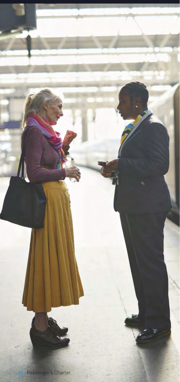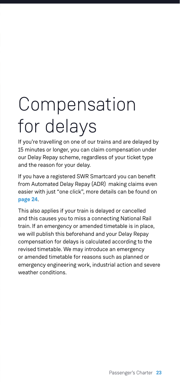### Compensation for delays

If you're travelling on one of our trains and are delayed by 15 minutes or longer, you can claim compensation under our Delay Repay scheme, regardless of your ticket type and the reason for your delay.

If you have a registered SWR Smartcard you can benefit from Automated Delay Repay (ADR) making claims even easier with just "one click", more details can be found on **page 24**.

This also applies if your train is delayed or cancelled and this causes you to miss a connecting National Rail train. If an emergency or amended timetable is in place, we will publish this beforehand and your Delay Repay compensation for delays is calculated according to the revised timetable. We may introduce an emergency or amended timetable for reasons such as planned or emergency engineering work, industrial action and severe weather conditions.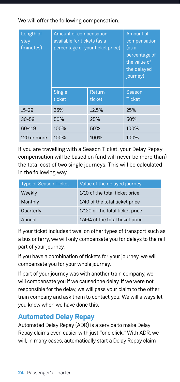We will offer the following compensation.

| Length of<br>stay<br>(minutes) | Amount of compensation<br>available for tickets (as a<br>percentage of your ticket price) |                  | Amount of<br>compensation<br>las a<br>percentage of<br>the value of<br>the delayed<br>journey) |
|--------------------------------|-------------------------------------------------------------------------------------------|------------------|------------------------------------------------------------------------------------------------|
|                                | Single<br>ticket                                                                          | Return<br>ticket | Season<br><b>Ticket</b>                                                                        |
| $15 - 29$                      | 25%                                                                                       | 12.5%            | 25%                                                                                            |
| $30 - 59$                      | 50%                                                                                       | 25%              | 50%                                                                                            |
| 60-119                         | 100%                                                                                      | 50%              | 100%                                                                                           |
| 120 or more                    | 100%                                                                                      | 100%             | 100%                                                                                           |

If you are travelling with a Season Ticket, your Delay Repay compensation will be based on (and will never be more than) the total cost of two single journeys. This will be calculated in the following way.

| <b>Type of Season Ticket</b> | Value of the delayed journey    |
|------------------------------|---------------------------------|
| Weekly                       | 1/10 of the total ticket price  |
| Monthly                      | 1/40 of the total ticket price  |
| Quarterly                    | 1/120 of the total ticket price |
| Annual                       | 1/464 of the total ticket price |

If your ticket includes travel on other types of transport such as a bus or ferry, we will only compensate you for delays to the rail part of your journey.

If you have a combination of tickets for your journey, we will compensate you for your whole journey.

If part of your journey was with another train company, we will compensate you if we caused the delay. If we were not responsible for the delay, we will pass your claim to the other train company and ask them to contact you. We will always let you know when we have done this.

#### **Automated Delay Repay**

Automated Delay Repay (ADR) is a service to make Delay Repay claims even easier with just "one click." With ADR, we will, in many cases, automatically start a Delay Repay claim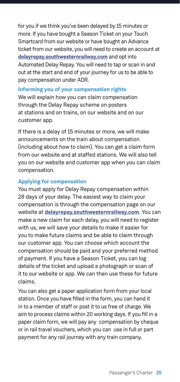for you if we think you've been delayed by 15 minutes or more. If you have bought a Season Ticket on your Touch Smartcard from our website or have bought an Advance ticket from our website, you will need to create an account at **[delayrepay.southwesternrailway.com](http://delayrepay.southwesternrailway.com)** and opt into Automated Delay Repay. You will need to tap or scan in and out at the start and end of your journey for us to be able to pay compensation under ADR.

#### **Informing you of your compensation rights**

We will explain how you can claim compensation through the Delay Repay scheme on posters at stations and on trains, on our website and on our customer app.

If there is a delay of 15 minutes or more, we will make announcements on the train about compensation (including about how to claim). You can get a claim form from our website and at staffed stations. We will also tell you on our website and customer app when you can claim compensation.

#### **Applying for compensation**

You must apply for Delay Repay compensation within 28 days of your delay. The easiest way to claim your compensation is through the compensation page on our website at **[delayrepay.southwesternrailway.com](http://delayrepay.southwesternrailway.com)**. You can make a new claim for each delay, you will need to register with us, we will save your details to make it easier for you to make future claims and be able to claim through our customer app. You can choose which account the compensation should be paid and your preferred method of payment. If you have a Season Ticket, you can log details of the ticket and upload a photograph or scan of it to our website or app. We can then use these for future claims.

You can also get a paper application form from your local station. Once you have filled in the form, you can hand it in to a member of staff or post it to us free of charge. We aim to process claims within 20 working days. If you fill in a paper claim form, we will pay any compensation by cheque or in rail travel vouchers, which you can use in full or part payment for any rail journey with any train company.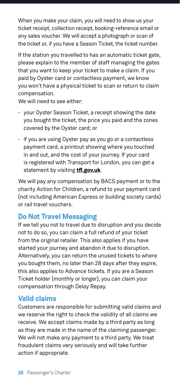When you make your claim, you will need to show us your ticket receipt, collection receipt, booking-reference email or any sales voucher. We will accept a photograph or scan of the ticket or, if you have a Season Ticket, the ticket number.

If the station you travelled to has an automatic ticket gate, please explain to the member of staff managing the gates that you want to keep your ticket to make a claim. If you paid by Oyster card or contactless payment, we know you won't have a physical ticket to scan or return to claim compensation.

We will need to see either:

- **•** your Oyster Season Ticket, a receipt showing the date you bought the ticket, the price you paid and the zones covered by the Oyster card; or
- **•** if you are using Oyster pay as you go or a contactless payment card, a printout showing where you touched in and out, and the cost of your journey. If your card is registered with Transport for London, you can get a statement by visiting **[tfl.gov.uk](http://tfl.gov.uk)**.

We will pay any compensation by BACS payment or to the charity Action for Children, a refund to your payment card (not including American Express or building society cards) or rail travel vouchers.

#### **Do Not Travel Messaging**

If we tell you not to travel due to disruption and you decide not to do so, you can claim a full refund of your ticket from the original retailer. This also applies if you have started your journey and abandon it due to disruption. Alternatively, you can return the unused tickets to where you bought them, no later than 28 days after they expire, this also applies to Advance tickets. If you are a Season Ticket holder (monthly or longer), you can claim your compensation through Delay Repay.

#### **Valid claims**

Customers are responsible for submitting valid claims and we reserve the right to check the validity of all claims we receive. We accept claims made by a third party as long as they are made in the name of the claiming passenger. We will not make any payment to a third party. We treat fraudulent claims very seriously and will take further action if appropriate.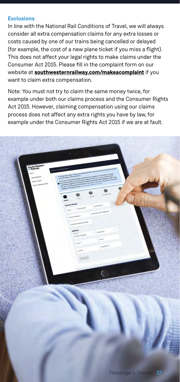#### **Exclusions**

In line with the National Rail Conditions of Travel, we will always consider all extra compensation claims for any extra losses or costs caused by one of our trains being cancelled or delayed (for example, the cost of a new plane ticket if you miss a flight). This does not affect your legal rights to make claims under the Consumer Act 2015. Please fill in the complaint form on our website at **[southwesternrailway.com/makeacomplaint](http://southwesternrailway.com/makeacomplaint)** if you want to claim extra compensation.

Note: You must not try to claim the same money twice, for example under both our claims process and the Consumer Rights Act 2015. However, claiming compensation using our claims process does not affect any extra rights you have by law, for example under the Consumer Rights Act 2015 if we are at fault.

Passenger's Charter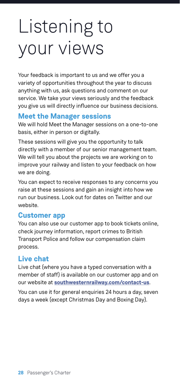### Listening to your views

Your feedback is important to us and we offer you a variety of opportunities throughout the year to discuss anything with us, ask questions and comment on our service. We take your views seriously and the feedback you give us will directly influence our business decisions.

#### **Meet the Manager sessions**

We will hold Meet the Manager sessions on a one-to-one basis, either in person or digitally.

These sessions will give you the opportunity to talk directly with a member of our senior management team. We will tell you about the projects we are working on to improve your railway and listen to your feedback on how we are doing.

You can expect to receive responses to any concerns you raise at these sessions and gain an insight into how we run our business. Look out for dates on Twitter and our website.

#### **Customer app**

You can also use our customer app to book tickets online, check journey information, report crimes to British Transport Police and follow our compensation claim process.

#### **Live chat**

Live chat (where you have a typed conversation with a member of staff) is available on our customer app and on our website at **[southwesternrailway.com/contact-us](http://southwesternrailway.com/contact-us)**.

You can use it for general enquiries 24 hours a day, seven days a week (except Christmas Day and Boxing Day).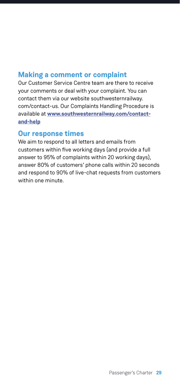#### **Making a comment or complaint**

Our Customer Service Centre team are there to receive your comments or deal with your complaint. You can contact them via our website southwesternrailway. com/contact-us. Our Complaints Handling Procedure is available at **[www.southwesternrailway.com/contact](http://www.southwesternrailway.com/contact-and-help)[and-help](http://www.southwesternrailway.com/contact-and-help)**

#### **Our response times**

We aim to respond to all letters and emails from customers within five working days (and provide a full answer to 95% of complaints within 20 working days), answer 80% of customers' phone calls within 20 seconds and respond to 90% of live-chat requests from customers within one minute.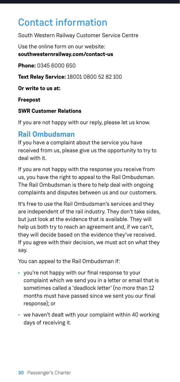#### Contact information

South Western Railway Customer Service Centre

Use the online form on our website: **southwesternrailway.com/contact-us**

**Phone:** 0345 6000 650

**Text Relay Service:** 18001 0800 52 82 100

**Or write to us at:**

#### **Freepost**

#### **SWR Customer Relations**

If you are not happy with our reply, please let us know.

#### **Rail Ombudsman**

If you have a complaint about the service you have received from us, please give us the opportunity to try to deal with it.

If you are not happy with the response you receive from us, you have the right to appeal to the Rail Ombudsman. The Rail Ombudsman is there to help deal with ongoing complaints and disputes between us and our customers.

It's free to use the Rail Ombudsman's services and they are independent of the rail industry. They don't take sides, but just look at the evidence that is available. They will help us both try to reach an agreement and, if we can't, they will decide based on the evidence they've received. If you agree with their decision, we must act on what they say.

You can appeal to the Rail Ombudsman if:

- **•** you're not happy with our final response to your complaint which we send you in a letter or email that is sometimes called a 'deadlock letter' (no more than 12 months must have passed since we sent you our final response); or
- **•** we haven't dealt with your complaint within 40 working days of receiving it.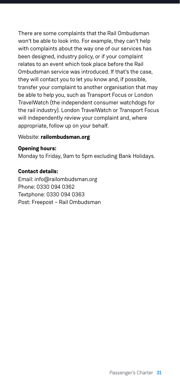There are some complaints that the Rail Ombudsman won't be able to look into. For example, they can't help with complaints about the way one of our services has been designed, industry policy, or if your complaint relates to an event which took place before the Rail Ombudsman service was introduced. If that's the case, they will contact you to let you know and, if possible, transfer your complaint to another organisation that may be able to help you, such as Transport Focus or London TravelWatch (the independent consumer watchdogs for the rail industry). London TravelWatch or Transport Focus will independently review your complaint and, where appropriate, follow up on your behalf.

#### Website: **railombudsman.org**

#### **Opening hours:**

Monday to Friday, 9am to 5pm excluding Bank Holidays.

#### **Contact details:**

Email: info@railombudsman.org Phone: 0330 094 0362 Textphone: 0330 094 0363 Post: Freepost – Rail Ombudsman